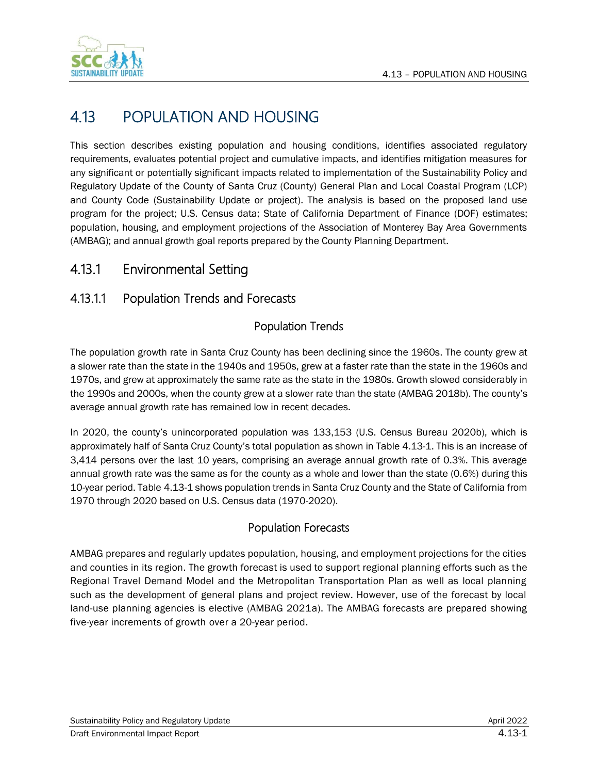

# 4.13 POPULATION AND HOUSING

This section describes existing population and housing conditions, identifies associated regulatory requirements, evaluates potential project and cumulative impacts, and identifies mitigation measures for any significant or potentially significant impacts related to implementation of the Sustainability Policy and Regulatory Update of the County of Santa Cruz (County) General Plan and Local Coastal Program (LCP) and County Code (Sustainability Update or project). The analysis is based on the proposed land use program for the project; U.S. Census data; State of California Department of Finance (DOF) estimates; population, housing, and employment projections of the Association of Monterey Bay Area Governments (AMBAG); and annual growth goal reports prepared by the County Planning Department.

## 4.13.1 Environmental Setting

### <span id="page-0-0"></span>4.13.1.1 Population Trends and Forecasts

#### Population Trends

The population growth rate in Santa Cruz County has been declining since the 1960s. The county grew at a slower rate than the state in the 1940s and 1950s, grew at a faster rate than the state in the 1960s and 1970s, and grew at approximately the same rate as the state in the 1980s. Growth slowed considerably in the 1990s and 2000s, when the county grew at a slower rate than the state (AMBAG 2018b). The county's average annual growth rate has remained low in recent decades.

In 2020, the county's unincorporated population was 133,153 (U.S. Census Bureau 2020b), which is approximately half of Santa Cruz County's total population as shown in Table [4.13-1.](#page-1-0) This is an increase of 3,414 persons over the last 10 years, comprising an average annual growth rate of 0.3%. This average annual growth rate was the same as for the county as a whole and lower than the state (0.6%) during this 10-year period. Table [4.13-1](#page-1-0) shows population trends in Santa Cruz County and the State of California from 1970 through 2020 based on U.S. Census data (1970-2020).

#### Population Forecasts

AMBAG prepares and regularly updates population, housing, and employment projections for the cities and counties in its region. The growth forecast is used to support regional planning efforts such as the Regional Travel Demand Model and the Metropolitan Transportation Plan as well as local planning such as the development of general plans and project review. However, use of the forecast by local land-use planning agencies is elective (AMBAG 2021a). The AMBAG forecasts are prepared showing five-year increments of growth over a 20-year period.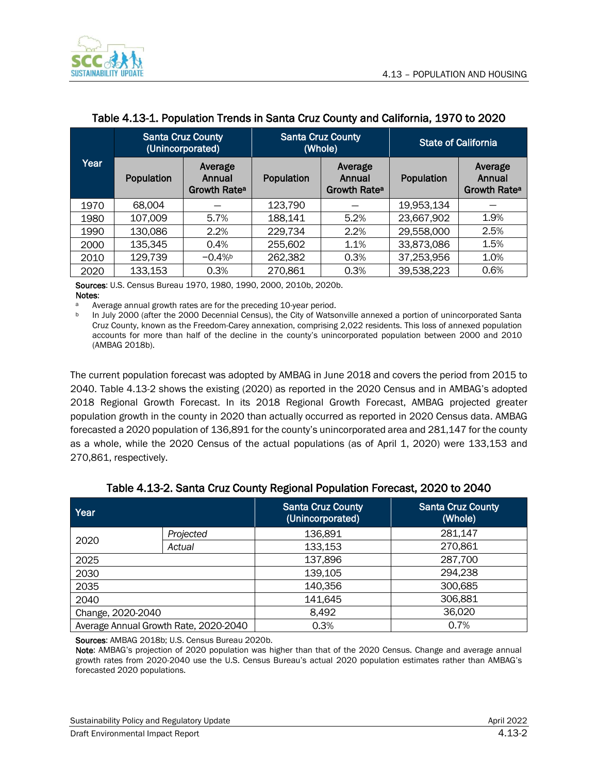

|      | <b>Santa Cruz County</b> | (Unincorporated)                              |                   | <b>Santa Cruz County</b><br><b>State of California</b><br>(Whole) |            |                                               |
|------|--------------------------|-----------------------------------------------|-------------------|-------------------------------------------------------------------|------------|-----------------------------------------------|
| Year | Population               | Average<br>Annual<br>Growth Rate <sup>a</sup> | <b>Population</b> | Average<br>Annual<br>Growth Rate <sup>a</sup>                     | Population | Average<br>Annual<br>Growth Rate <sup>a</sup> |
| 1970 | 68,004                   |                                               | 123,790           |                                                                   | 19,953,134 |                                               |
| 1980 | 107,009                  | 5.7%                                          | 188,141           | 5.2%                                                              | 23,667,902 | 1.9%                                          |
| 1990 | 130,086                  | 2.2%                                          | 229,734           | 2.2%                                                              | 29,558,000 | 2.5%                                          |
| 2000 | 135,345                  | 0.4%                                          | 255,602           | 1.1%                                                              | 33,873,086 | 1.5%                                          |
| 2010 | 129,739                  | $-0.4%$                                       | 262,382           | 0.3%                                                              | 37,253,956 | 1.0%                                          |
| 2020 | 133,153                  | 0.3%                                          | 270,861           | 0.3%                                                              | 39,538,223 | 0.6%                                          |

#### <span id="page-1-0"></span>Table 4.13-1. Population Trends in Santa Cruz County and California, 1970 to 2020

Sources: U.S. Census Bureau 1970, 1980, 1990, 2000, 2010b, 2020b. Notes:<br>a  $\Delta V$ 

Average annual growth rates are for the preceding 10-year period.

<sup>b</sup> In July 2000 (after the 2000 Decennial Census), the City of Watsonville annexed a portion of unincorporated Santa Cruz County, known as the Freedom-Carey annexation, comprising 2,022 residents. This loss of annexed population accounts for more than half of the decline in the county's unincorporated population between 2000 and 2010 (AMBAG 2018b).

The current population forecast was adopted by AMBAG in June 2018 and covers the period from 2015 to 2040. Table 4.13-2 shows the existing (2020) as reported in the 2020 Census and in AMBAG's adopted 2018 Regional Growth Forecast. In its 2018 Regional Growth Forecast, AMBAG projected greater population growth in the county in 2020 than actually occurred as reported in 2020 Census data. AMBAG forecasted a 2020 population of 136,891 for the county's unincorporated area and 281,147 for the county as a whole, while the 2020 Census of the actual populations (as of April 1, 2020) were 133,153 and 270,861, respectively.

| Year              |                                       | <b>Santa Cruz County</b><br>(Unincorporated) | <b>Santa Cruz County</b><br>(Whole) |
|-------------------|---------------------------------------|----------------------------------------------|-------------------------------------|
|                   | Projected                             | 136,891                                      | 281,147                             |
| 2020              | Actual                                | 133,153                                      | 270,861                             |
| 2025              |                                       | 137,896                                      | 287,700                             |
| 2030              |                                       | 139,105                                      | 294,238                             |
| 2035              |                                       | 140,356                                      | 300,685                             |
| 2040              |                                       | 141,645                                      | 306,881                             |
| Change, 2020-2040 |                                       | 8.492                                        | 36,020                              |
|                   | Average Annual Growth Rate, 2020-2040 | 0.3%                                         | 0.7%                                |

#### Table 4.13-2. Santa Cruz County Regional Population Forecast, 2020 to 2040

Sources: AMBAG 2018b; U.S. Census Bureau 2020b.

Note: AMBAG's projection of 2020 population was higher than that of the 2020 Census. Change and average annual growth rates from 2020-2040 use the U.S. Census Bureau's actual 2020 population estimates rather than AMBAG's forecasted 2020 populations.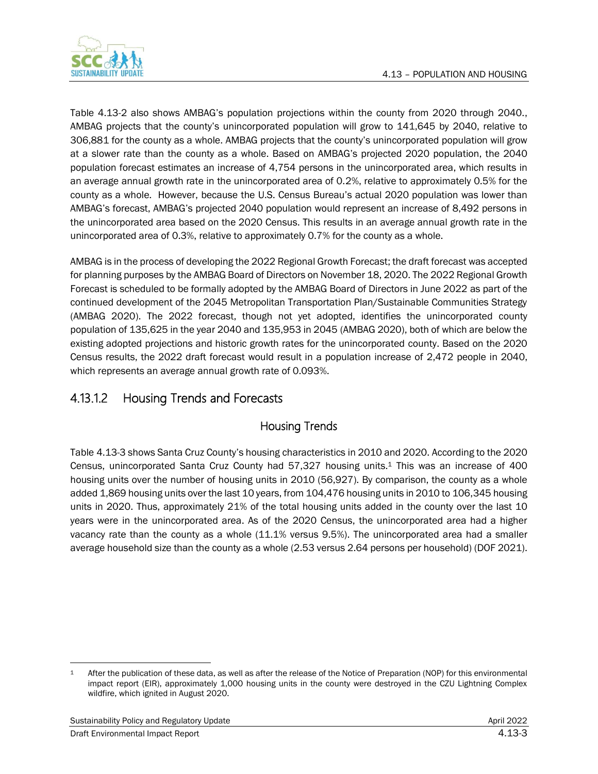

Table 4.13-2 also shows AMBAG's population projections within the county from 2020 through 2040., AMBAG projects that the county's unincorporated population will grow to 141,645 by 2040, relative to 306,881 for the county as a whole. AMBAG projects that the county's unincorporated population will grow at a slower rate than the county as a whole. Based on AMBAG's projected 2020 population, the 2040 population forecast estimates an increase of 4,754 persons in the unincorporated area, which results in an average annual growth rate in the unincorporated area of 0.2%, relative to approximately 0.5% for the county as a whole. However, because the U.S. Census Bureau's actual 2020 population was lower than AMBAG's forecast, AMBAG's projected 2040 population would represent an increase of 8,492 persons in the unincorporated area based on the 2020 Census. This results in an average annual growth rate in the unincorporated area of 0.3%, relative to approximately 0.7% for the county as a whole.

AMBAG is in the process of developing the 2022 Regional Growth Forecast; the draft forecast was accepted for planning purposes by the AMBAG Board of Directors on November 18, 2020. The 2022 Regional Growth Forecast is scheduled to be formally adopted by the AMBAG Board of Directors in June 2022 as part of the continued development of the 2045 Metropolitan Transportation Plan/Sustainable Communities Strategy (AMBAG 2020). The 2022 forecast, though not yet adopted, identifies the unincorporated county population of 135,625 in the year 2040 and 135,953 in 2045 (AMBAG 2020), both of which are below the existing adopted projections and historic growth rates for the unincorporated county. Based on the 2020 Census results, the 2022 draft forecast would result in a population increase of 2,472 people in 2040, which represents an average annual growth rate of 0.093%.

## 4.13.1.2 Housing Trends and Forecasts

### Housing Trends

Table [4.13-3](#page-3-0) shows Santa Cruz County's housing characteristics in 2010 and 2020. According to the 2020 Census, unincorporated Santa Cruz County had 57,327 housing units.<sup>1</sup> This was an increase of 400 housing units over the number of housing units in 2010 (56,927). By comparison, the county as a whole added 1,869 housing units over the last 10 years, from 104,476 housing units in 2010 to 106,345 housing units in 2020. Thus, approximately 21% of the total housing units added in the county over the last 10 years were in the unincorporated area. As of the 2020 Census, the unincorporated area had a higher vacancy rate than the county as a whole (11.1% versus 9.5%). The unincorporated area had a smaller average household size than the county as a whole (2.53 versus 2.64 persons per household) (DOF 2021).

<sup>&</sup>lt;sup>1</sup> After the publication of these data, as well as after the release of the Notice of Preparation (NOP) for this environmental impact report (EIR), approximately 1,000 housing units in the county were destroyed in the CZU Lightning Complex wildfire, which ignited in August 2020.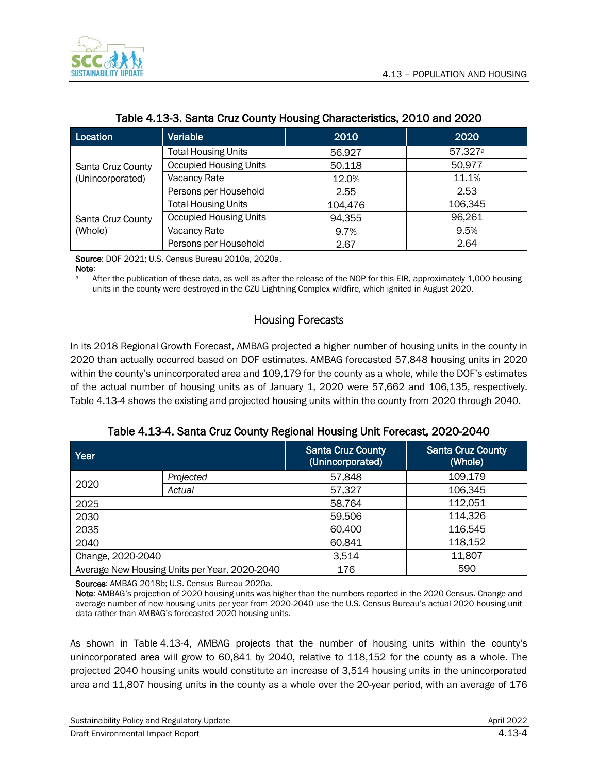

<span id="page-3-0"></span>

| Location                     | Variable                      | 2010    | 2020                |
|------------------------------|-------------------------------|---------|---------------------|
|                              | <b>Total Housing Units</b>    | 56,927  | 57,327 <sup>a</sup> |
| Santa Cruz County            | <b>Occupied Housing Units</b> | 50,118  | 50,977              |
| (Unincorporated)             | Vacancy Rate                  | 12.0%   | 11.1%               |
|                              | Persons per Household         | 2.55    | 2.53                |
|                              | <b>Total Housing Units</b>    | 104,476 | 106,345             |
| Santa Cruz County<br>(Whole) | <b>Occupied Housing Units</b> | 94,355  | 96,261              |
|                              | Vacancy Rate                  | 9.7%    | 9.5%                |
|                              | Persons per Household         | 2.67    | 2.64                |

#### Table 4.13-3. Santa Cruz County Housing Characteristics, 2010 and 2020

Source: DOF 2021; U.S. Census Bureau 2010a, 2020a. Note:

a After the publication of these data, as well as after the release of the NOP for this EIR, approximately 1,000 housing units in the county were destroyed in the CZU Lightning Complex wildfire, which ignited in August 2020.

#### Housing Forecasts

In its 2018 Regional Growth Forecast, AMBAG projected a higher number of housing units in the county in 2020 than actually occurred based on DOF estimates. AMBAG forecasted 57,848 housing units in 2020 within the county's unincorporated area and 109,179 for the county as a whole, while the DOF's estimates of the actual number of housing units as of January 1, 2020 were 57,662 and 106,135, respectively. Table [4.13-4](#page-3-1) shows the existing and projected housing units within the county from 2020 through 2040.

|  |  |  |  | Table 4.13-4. Santa Cruz County Regional Housing Unit Forecast, 2020-2040 |  |
|--|--|--|--|---------------------------------------------------------------------------|--|
|  |  |  |  |                                                                           |  |

<span id="page-3-1"></span>

| Year |                                               | <b>Santa Cruz County</b><br>(Unincorporated) | <b>Santa Cruz County</b><br>(Whole) |
|------|-----------------------------------------------|----------------------------------------------|-------------------------------------|
|      | Projected                                     | 57,848                                       | 109,179                             |
| 2020 | Actual                                        | 57,327                                       | 106,345<br>112,051<br>58,764        |
| 2025 |                                               |                                              |                                     |
| 2030 |                                               | 59,506                                       | 114,326                             |
| 2035 |                                               | 60,400                                       | 116,545                             |
| 2040 |                                               | 60,841                                       | 118,152                             |
|      | Change, 2020-2040                             |                                              | 11,807                              |
|      | Average New Housing Units per Year, 2020-2040 | 176                                          | 590                                 |

Sources: AMBAG 2018b; U.S. Census Bureau 2020a.

Note: AMBAG's projection of 2020 housing units was higher than the numbers reported in the 2020 Census. Change and average number of new housing units per year from 2020-2040 use the U.S. Census Bureau's actual 2020 housing unit data rather than AMBAG's forecasted 2020 housing units.

As shown in Table [4.13-4,](#page-3-1) AMBAG projects that the number of housing units within the county's unincorporated area will grow to 60,841 by 2040, relative to 118,152 for the county as a whole. The projected 2040 housing units would constitute an increase of 3,514 housing units in the unincorporated area and 11,807 housing units in the county as a whole over the 20-year period, with an average of 176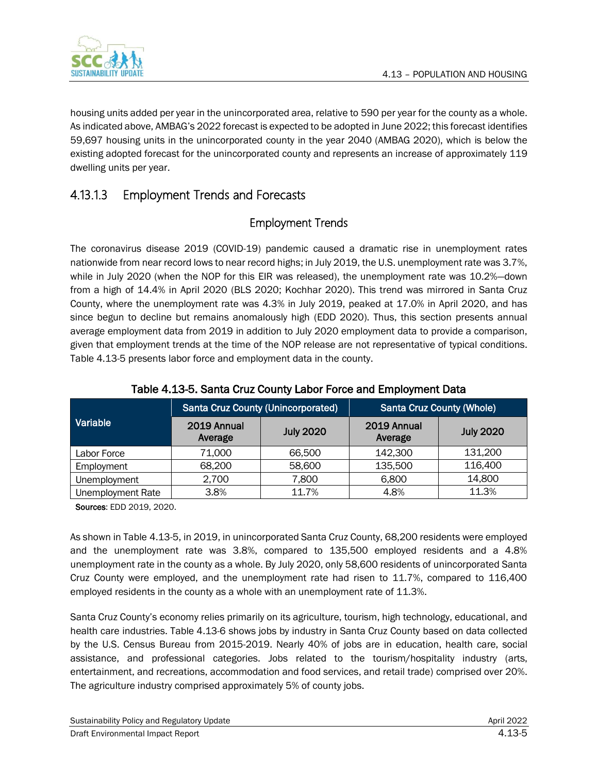

housing units added per year in the unincorporated area, relative to 590 per year for the county as a whole. As indicated above, AMBAG's 2022 forecast is expected to be adopted in June 2022; this forecast identifies 59,697 housing units in the unincorporated county in the year 2040 (AMBAG 2020), which is below the existing adopted forecast for the unincorporated county and represents an increase of approximately 119 dwelling units per year.

## 4.13.1.3 Employment Trends and Forecasts

### Employment Trends

The coronavirus disease 2019 (COVID-19) pandemic caused a dramatic rise in unemployment rates nationwide from near record lows to near record highs; in July 2019, the U.S. unemployment rate was 3.7%, while in July 2020 (when the NOP for this EIR was released), the unemployment rate was 10.2%—down from a high of 14.4% in April 2020 (BLS 2020; Kochhar 2020). This trend was mirrored in Santa Cruz County, where the unemployment rate was 4.3% in July 2019, peaked at 17.0% in April 2020, and has since begun to decline but remains anomalously high (EDD 2020). Thus, this section presents annual average employment data from 2019 in addition to July 2020 employment data to provide a comparison, given that employment trends at the time of the NOP release are not representative of typical conditions. Table [4.13-5](#page-4-0) presents labor force and employment data in the county.

<span id="page-4-0"></span>

|                          |                        | <b>Santa Cruz County (Unincorporated)</b> | <b>Santa Cruz County (Whole)</b> |                  |  |
|--------------------------|------------------------|-------------------------------------------|----------------------------------|------------------|--|
| Variable                 | 2019 Annual<br>Average | <b>July 2020</b>                          | 2019 Annual<br>Average           | <b>July 2020</b> |  |
| Labor Force              | 71,000                 | 66,500                                    | 142,300                          | 131,200          |  |
| Employment               | 68,200                 | 58,600                                    | 135,500                          | 116,400          |  |
| Unemployment             | 2,700                  | 7,800                                     | 6,800                            | 14,800           |  |
| <b>Unemployment Rate</b> | 3.8%                   | 11.7%                                     | 4.8%                             | 11.3%            |  |

#### Table 4.13-5. Santa Cruz County Labor Force and Employment Data

Sources: EDD 2019, 2020.

As shown in Table [4.13-5,](#page-4-0) in 2019, in unincorporated Santa Cruz County, 68,200 residents were employed and the unemployment rate was 3.8%, compared to 135,500 employed residents and a 4.8% unemployment rate in the county as a whole. By July 2020, only 58,600 residents of unincorporated Santa Cruz County were employed, and the unemployment rate had risen to 11.7%, compared to 116,400 employed residents in the county as a whole with an unemployment rate of 11.3%.

Santa Cruz County's economy relies primarily on its agriculture, tourism, high technology, educational, and health care industries. Table [4.13-6](#page-5-0) shows jobs by industry in Santa Cruz County based on data collected by the U.S. Census Bureau from 2015-2019. Nearly 40% of jobs are in education, health care, social assistance, and professional categories. Jobs related to the tourism/hospitality industry (arts, entertainment, and recreations, accommodation and food services, and retail trade) comprised over 20%. The agriculture industry comprised approximately 5% of county jobs.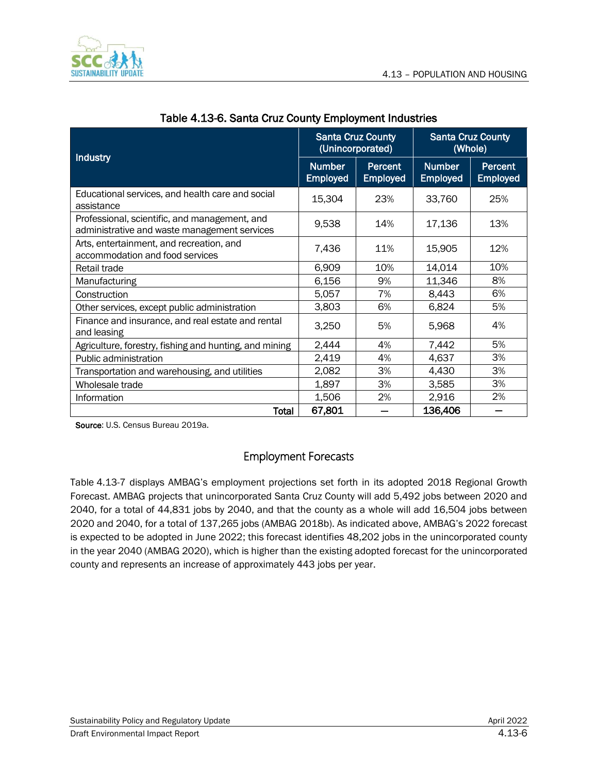

<span id="page-5-0"></span>

| Industry                                                                                      | <b>Santa Cruz County</b>         | (Unincorporated)           | <b>Santa Cruz County</b><br>(Whole) |                            |
|-----------------------------------------------------------------------------------------------|----------------------------------|----------------------------|-------------------------------------|----------------------------|
|                                                                                               | <b>Number</b><br><b>Employed</b> | Percent<br><b>Employed</b> | <b>Number</b><br><b>Employed</b>    | Percent<br><b>Employed</b> |
| Educational services, and health care and social<br>assistance                                | 15,304                           | 23%                        | 33,760                              | 25%                        |
| Professional, scientific, and management, and<br>administrative and waste management services | 9,538                            | 14%                        | 17,136                              | 13%                        |
| Arts, entertainment, and recreation, and<br>accommodation and food services                   | 7,436                            | 11%                        | 15,905                              | 12%                        |
| Retail trade                                                                                  | 6,909                            | 10%                        | 14,014                              | 10%                        |
| Manufacturing                                                                                 | 6,156                            | 9%                         | 11,346                              | 8%                         |
| Construction                                                                                  | 5,057                            | 7%                         | 8,443                               | 6%                         |
| Other services, except public administration                                                  | 3,803                            | 6%                         | 6,824                               | 5%                         |
| Finance and insurance, and real estate and rental<br>and leasing                              | 3,250                            | 5%                         | 5,968                               | 4%                         |
| Agriculture, forestry, fishing and hunting, and mining                                        | 2,444                            | 4%                         | 7,442                               | 5%                         |
| Public administration                                                                         | 2,419                            | 4%                         | 4,637                               | 3%                         |
| Transportation and warehousing, and utilities                                                 | 2,082                            | 3%                         | 4,430                               | 3%                         |
| Wholesale trade                                                                               | 1,897                            | 3%                         | 3,585                               | 3%                         |
| Information                                                                                   | 1,506                            | 2%                         | 2,916                               | 2%                         |
| Total                                                                                         | 67,801                           |                            | 136,406                             |                            |

| Table 4.13-6. Santa Cruz County Employment Industries |  |  |  |
|-------------------------------------------------------|--|--|--|
|-------------------------------------------------------|--|--|--|

Source: U.S. Census Bureau 2019a.

#### Employment Forecasts

Table [4.13-7](#page-6-0) displays AMBAG's employment projections set forth in its adopted 2018 Regional Growth Forecast. AMBAG projects that unincorporated Santa Cruz County will add 5,492 jobs between 2020 and 2040, for a total of 44,831 jobs by 2040, and that the county as a whole will add 16,504 jobs between 2020 and 2040, for a total of 137,265 jobs (AMBAG 2018b). As indicated above, AMBAG's 2022 forecast is expected to be adopted in June 2022; this forecast identifies 48,202 jobs in the unincorporated county in the year 2040 (AMBAG 2020), which is higher than the existing adopted forecast for the unincorporated county and represents an increase of approximately 443 jobs per year.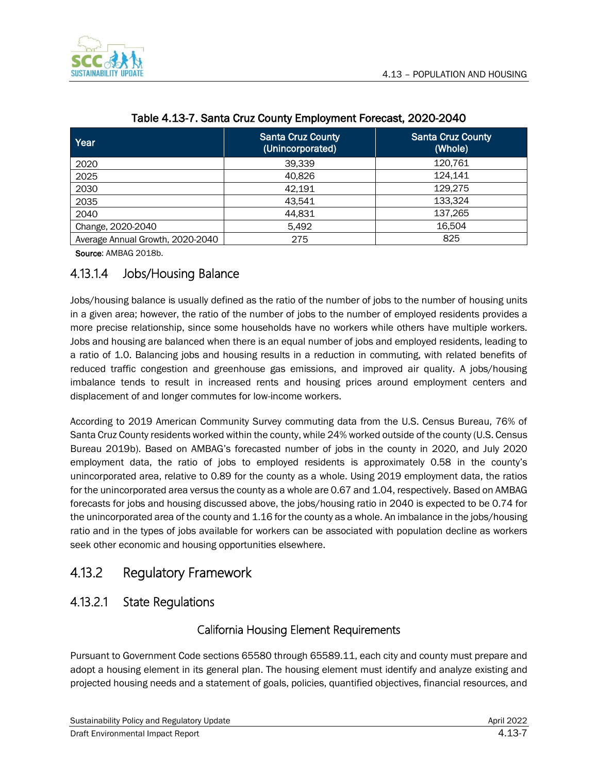

<span id="page-6-0"></span>

| Year                             | <b>Santa Cruz County</b><br>(Unincorporated) | <b>Santa Cruz County</b><br>(Whole) |
|----------------------------------|----------------------------------------------|-------------------------------------|
| 2020                             | 39,339                                       | 120,761                             |
| 2025                             | 40,826                                       | 124,141                             |
| 2030                             | 42,191                                       | 129,275                             |
| 2035                             | 43,541                                       | 133,324                             |
| 2040                             | 44,831                                       | 137,265                             |
| Change, 2020-2040                | 5,492                                        | 16.504                              |
| Average Annual Growth, 2020-2040 | 275                                          | 825                                 |

#### Table 4.13-7. Santa Cruz County Employment Forecast, 2020-2040

Source: AMBAG 2018b.

### 4.13.1.4 Jobs/Housing Balance

Jobs/housing balance is usually defined as the ratio of the number of jobs to the number of housing units in a given area; however, the ratio of the number of jobs to the number of employed residents provides a more precise relationship, since some households have no workers while others have multiple workers. Jobs and housing are balanced when there is an equal number of jobs and employed residents, leading to a ratio of 1.0. Balancing jobs and housing results in a reduction in commuting, with related benefits of reduced traffic congestion and greenhouse gas emissions, and improved air quality. A jobs/housing imbalance tends to result in increased rents and housing prices around employment centers and displacement of and longer commutes for low-income workers.

According to 2019 American Community Survey commuting data from the U.S. Census Bureau, 76% of Santa Cruz County residents worked within the county, while 24% worked outside of the county (U.S. Census Bureau 2019b). Based on AMBAG's forecasted number of jobs in the county in 2020, and July 2020 employment data, the ratio of jobs to employed residents is approximately 0.58 in the county's unincorporated area, relative to 0.89 for the county as a whole. Using 2019 employment data, the ratios for the unincorporated area versus the county as a whole are 0.67 and 1.04, respectively. Based on AMBAG forecasts for jobs and housing discussed above, the jobs/housing ratio in 2040 is expected to be 0.74 for the unincorporated area of the county and 1.16 for the county as a whole. An imbalance in the jobs/housing ratio and in the types of jobs available for workers can be associated with population decline as workers seek other economic and housing opportunities elsewhere.

## 4.13.2 Regulatory Framework

## 4.13.2.1 State Regulations

#### California Housing Element Requirements

Pursuant to Government Code sections 65580 through 65589.11, each city and county must prepare and adopt a housing element in its general plan. The housing element must identify and analyze existing and projected housing needs and a statement of goals, policies, quantified objectives, financial resources, and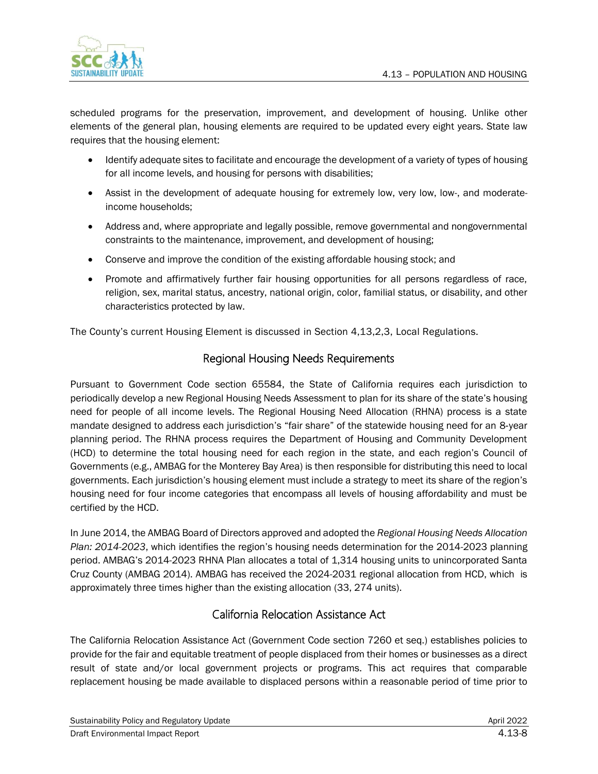

scheduled programs for the preservation, improvement, and development of housing. Unlike other elements of the general plan, housing elements are required to be updated every eight years. State law requires that the housing element:

- Identify adequate sites to facilitate and encourage the development of a variety of types of housing for all income levels, and housing for persons with disabilities;
- Assist in the development of adequate housing for extremely low, very low, low-, and moderateincome households;
- Address and, where appropriate and legally possible, remove governmental and nongovernmental constraints to the maintenance, improvement, and development of housing;
- Conserve and improve the condition of the existing affordable housing stock; and
- Promote and affirmatively further fair housing opportunities for all persons regardless of race, religion, sex, marital status, ancestry, national origin, color, familial status, or disability, and other characteristics protected by law.

The County's current Housing Element is discussed in Section 4,13,2,3, Local Regulations.

### Regional Housing Needs Requirements

Pursuant to Government Code section 65584, the State of California requires each jurisdiction to periodically develop a new Regional Housing Needs Assessment to plan for its share of the state's housing need for people of all income levels. The Regional Housing Need Allocation (RHNA) process is a state mandate designed to address each jurisdiction's "fair share" of the statewide housing need for an 8‐year planning period. The RHNA process requires the Department of Housing and Community Development (HCD) to determine the total housing need for each region in the state, and each region's Council of Governments (e.g., AMBAG for the Monterey Bay Area) is then responsible for distributing this need to local governments. Each jurisdiction's housing element must include a strategy to meet its share of the region's housing need for four income categories that encompass all levels of housing affordability and must be certified by the HCD.

In June 2014, the AMBAG Board of Directors approved and adopted the *Regional Housing Needs Allocation Plan: 2014-2023*, which identifies the region's housing needs determination for the 2014-2023 planning period. AMBAG's 2014-2023 RHNA Plan allocates a total of 1,314 housing units to unincorporated Santa Cruz County (AMBAG 2014). AMBAG has received the 2024-2031 regional allocation from HCD, which is approximately three times higher than the existing allocation (33, 274 units).

#### California Relocation Assistance Act

The California Relocation Assistance Act (Government Code section 7260 et seq.) establishes policies to provide for the fair and equitable treatment of people displaced from their homes or businesses as a direct result of state and/or local government projects or programs. This act requires that comparable replacement housing be made available to displaced persons within a reasonable period of time prior to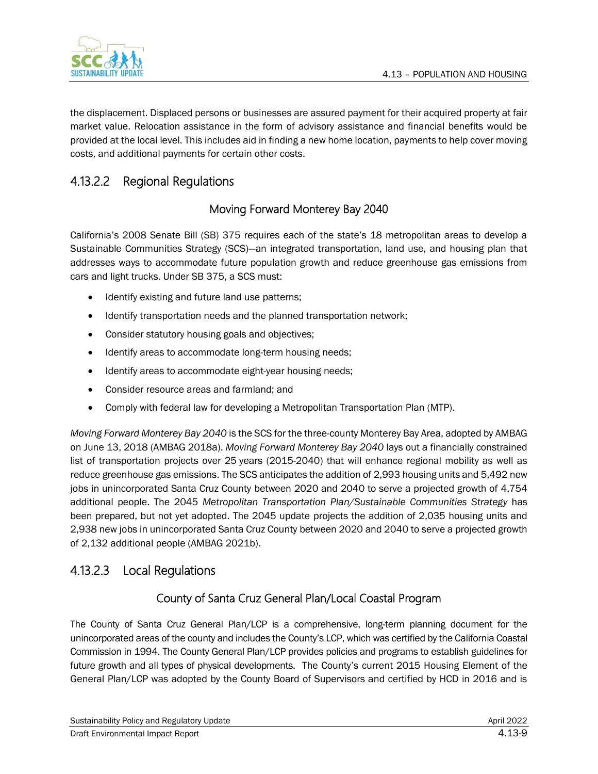

the displacement. Displaced persons or businesses are assured payment for their acquired property at fair market value. Relocation assistance in the form of advisory assistance and financial benefits would be provided at the local level. This includes aid in finding a new home location, payments to help cover moving costs, and additional payments for certain other costs.

## <span id="page-8-0"></span>4.13.2.2 Regional Regulations

### Moving Forward Monterey Bay 2040

California's 2008 Senate Bill (SB) 375 requires each of the state's 18 metropolitan areas to develop a Sustainable Communities Strategy (SCS)—an integrated transportation, land use, and housing plan that addresses ways to accommodate future population growth and reduce greenhouse gas emissions from cars and light trucks. Under SB 375, a SCS must:

- Identify existing and future land use patterns;
- Identify transportation needs and the planned transportation network;
- Consider statutory housing goals and objectives;
- Identify areas to accommodate long-term housing needs;
- Identify areas to accommodate eight-year housing needs;
- Consider resource areas and farmland; and
- Comply with federal law for developing a Metropolitan Transportation Plan (MTP).

*Moving Forward Monterey Bay 2040* is the SCS for the three-county Monterey Bay Area, adopted by AMBAG on June 13, 2018 (AMBAG 2018a). *Moving Forward Monterey Bay 2040* lays out a financially constrained list of transportation projects over 25 years (2015-2040) that will enhance regional mobility as well as reduce greenhouse gas emissions. The SCS anticipates the addition of 2,993 housing units and 5,492 new jobs in unincorporated Santa Cruz County between 2020 and 2040 to serve a projected growth of 4,754 additional people. The 2045 *Metropolitan Transportation Plan/Sustainable Communities Strategy* has been prepared, but not yet adopted. The 2045 update projects the addition of 2,035 housing units and 2,938 new jobs in unincorporated Santa Cruz County between 2020 and 2040 to serve a projected growth of 2,132 additional people (AMBAG 2021b).

### 4.13.2.3 Local Regulations

### County of Santa Cruz General Plan/Local Coastal Program

The County of Santa Cruz General Plan/LCP is a comprehensive, long-term planning document for the unincorporated areas of the county and includes the County's LCP, which was certified by the California Coastal Commission in 1994. The County General Plan/LCP provides policies and programs to establish guidelines for future growth and all types of physical developments. The County's current 2015 Housing Element of the General Plan/LCP was adopted by the County Board of Supervisors and certified by HCD in 2016 and is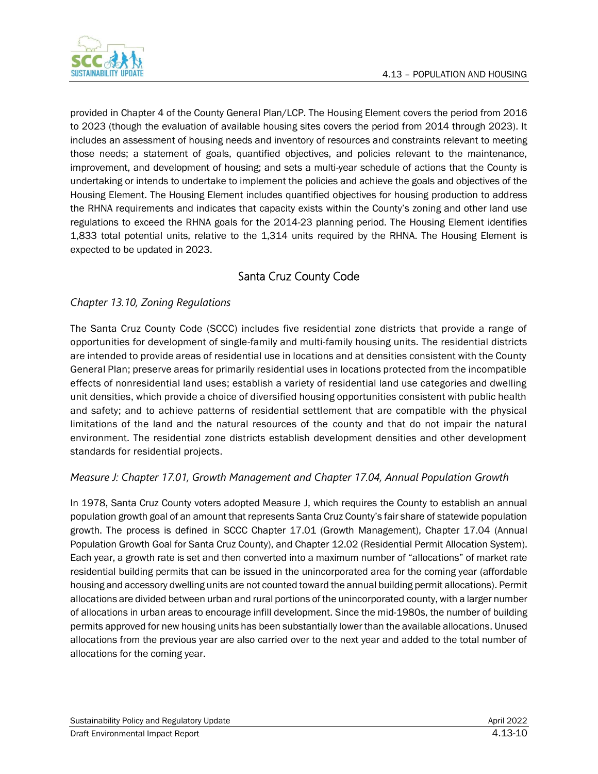

provided in Chapter 4 of the County General Plan/LCP. The Housing Element covers the period from 2016 to 2023 (though the evaluation of available housing sites covers the period from 2014 through 2023). It includes an assessment of housing needs and inventory of resources and constraints relevant to meeting those needs; a statement of goals, quantified objectives, and policies relevant to the maintenance, improvement, and development of housing; and sets a multi-year schedule of actions that the County is undertaking or intends to undertake to implement the policies and achieve the goals and objectives of the Housing Element. The Housing Element includes quantified objectives for housing production to address the RHNA requirements and indicates that capacity exists within the County's zoning and other land use regulations to exceed the RHNA goals for the 2014-23 planning period. The Housing Element identifies 1,833 total potential units, relative to the 1,314 units required by the RHNA. The Housing Element is expected to be updated in 2023.

## Santa Cruz County Code

#### *Chapter 13.10, Zoning Regulations*

The Santa Cruz County Code (SCCC) includes five residential zone districts that provide a range of opportunities for development of single-family and multi-family housing units. The residential districts are intended to provide areas of residential use in locations and at densities consistent with the County General Plan; preserve areas for primarily residential uses in locations protected from the incompatible effects of nonresidential land uses; establish a variety of residential land use categories and dwelling unit densities, which provide a choice of diversified housing opportunities consistent with public health and safety; and to achieve patterns of residential settlement that are compatible with the physical limitations of the land and the natural resources of the county and that do not impair the natural environment. The residential zone districts establish development densities and other development standards for residential projects.

#### *Measure J: Chapter 17.01, Growth Management and Chapter 17.04, Annual Population Growth*

In 1978, Santa Cruz County voters adopted Measure J, which requires the County to establish an annual population growth goal of an amount that represents Santa Cruz County's fair share of statewide population growth. The process is defined in SCCC Chapter 17.01 (Growth Management), Chapter 17.04 (Annual Population Growth Goal for Santa Cruz County), and Chapter 12.02 (Residential Permit Allocation System). Each year, a growth rate is set and then converted into a maximum number of "allocations" of market rate residential building permits that can be issued in the unincorporated area for the coming year (affordable housing and accessory dwelling units are not counted toward the annual building permit allocations). Permit allocations are divided between urban and rural portions of the unincorporated county, with a larger number of allocations in urban areas to encourage infill development. Since the mid-1980s, the number of building permits approved for new housing units has been substantially lower than the available allocations. Unused allocations from the previous year are also carried over to the next year and added to the total number of allocations for the coming year.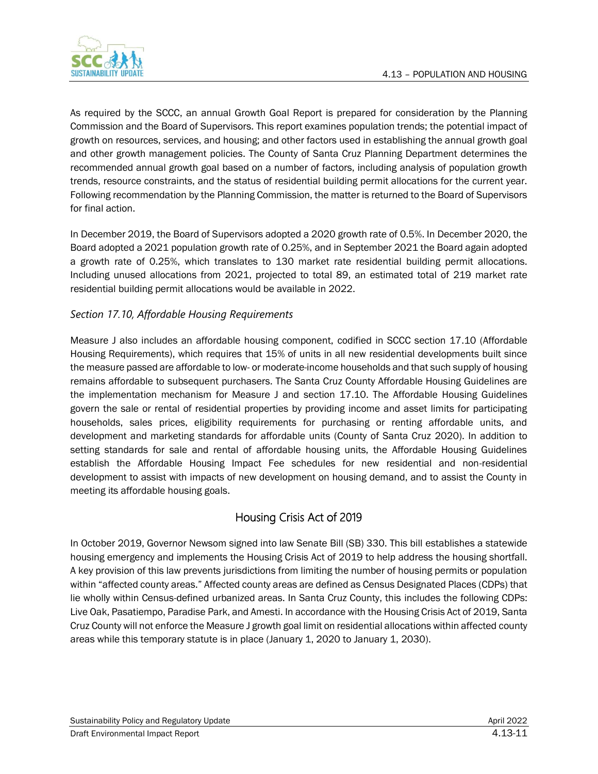

As required by the SCCC, an annual Growth Goal Report is prepared for consideration by the Planning Commission and the Board of Supervisors. This report examines population trends; the potential impact of growth on resources, services, and housing; and other factors used in establishing the annual growth goal and other growth management policies. The County of Santa Cruz Planning Department determines the recommended annual growth goal based on a number of factors, including analysis of population growth trends, resource constraints, and the status of residential building permit allocations for the current year. Following recommendation by the Planning Commission, the matter is returned to the Board of Supervisors for final action.

In December 2019, the Board of Supervisors adopted a 2020 growth rate of 0.5%. In December 2020, the Board adopted a 2021 population growth rate of 0.25%, and in September 2021 the Board again adopted a growth rate of 0.25%, which translates to 130 market rate residential building permit allocations. Including unused allocations from 2021, projected to total 89, an estimated total of 219 market rate residential building permit allocations would be available in 2022.

#### *Section 17.10, Affordable Housing Requirements*

Measure J also includes an affordable housing component, codified in SCCC section 17.10 (Affordable Housing Requirements), which requires that 15% of units in all new residential developments built since the measure passed are affordable to low- or moderate-income households and that such supply of housing remains affordable to subsequent purchasers. The Santa Cruz County Affordable Housing Guidelines are the implementation mechanism for Measure J and section 17.10. The Affordable Housing Guidelines govern the sale or rental of residential properties by providing income and asset limits for participating households, sales prices, eligibility requirements for purchasing or renting affordable units, and development and marketing standards for affordable units (County of Santa Cruz 2020). In addition to setting standards for sale and rental of affordable housing units, the Affordable Housing Guidelines establish the Affordable Housing Impact Fee schedules for new residential and non-residential development to assist with impacts of new development on housing demand, and to assist the County in meeting its affordable housing goals.

#### Housing Crisis Act of 2019

In October 2019, Governor Newsom signed into law Senate Bill (SB) 330. This bill establishes a statewide housing emergency and implements the Housing Crisis Act of 2019 to help address the housing shortfall. A key provision of this law prevents jurisdictions from limiting the number of housing permits or population within "affected county areas." Affected county areas are defined as Census Designated Places (CDPs) that lie wholly within Census-defined urbanized areas. In Santa Cruz County, this includes the following CDPs: Live Oak, Pasatiempo, Paradise Park, and Amesti. In accordance with the Housing Crisis Act of 2019, Santa Cruz County will not enforce the Measure J growth goal limit on residential allocations within affected county areas while this temporary statute is in place (January 1, 2020 to January 1, 2030).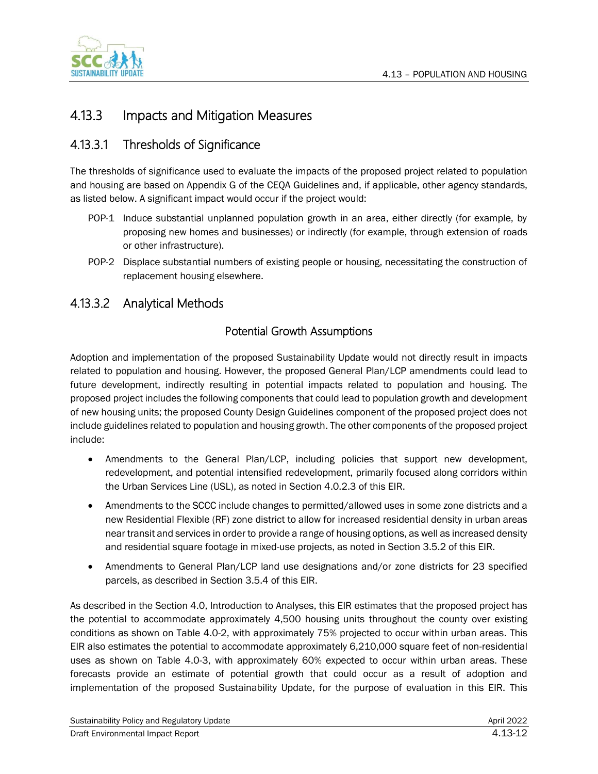

## 4.13.3 Impacts and Mitigation Measures

## 4.13.3.1 Thresholds of Significance

The thresholds of significance used to evaluate the impacts of the proposed project related to population and housing are based on Appendix G of the CEQA Guidelines and, if applicable, other agency standards, as listed below. A significant impact would occur if the project would:

- POP-1 Induce substantial unplanned population growth in an area, either directly (for example, by proposing new homes and businesses) or indirectly (for example, through extension of roads or other infrastructure).
- POP-2 Displace substantial numbers of existing people or housing, necessitating the construction of replacement housing elsewhere.

## 4.13.3.2 Analytical Methods

#### Potential Growth Assumptions

Adoption and implementation of the proposed Sustainability Update would not directly result in impacts related to population and housing. However, the proposed General Plan/LCP amendments could lead to future development, indirectly resulting in potential impacts related to population and housing. The proposed project includes the following components that could lead to population growth and development of new housing units; the proposed County Design Guidelines component of the proposed project does not include guidelines related to population and housing growth. The other components of the proposed project include:

- Amendments to the General Plan/LCP, including policies that support new development, redevelopment, and potential intensified redevelopment, primarily focused along corridors within the Urban Services Line (USL), as noted in Section 4.0.2.3 of this EIR.
- Amendments to the SCCC include changes to permitted/allowed uses in some zone districts and a new Residential Flexible (RF) zone district to allow for increased residential density in urban areas near transit and services in order to provide a range of housing options, as well as increased density and residential square footage in mixed-use projects, as noted in Section 3.5.2 of this EIR.
- Amendments to General Plan/LCP land use designations and/or zone districts for 23 specified parcels, as described in Section 3.5.4 of this EIR.

As described in the Section 4.0, Introduction to Analyses, this EIR estimates that the proposed project has the potential to accommodate approximately 4,500 housing units throughout the county over existing conditions as shown on Table 4.0-2, with approximately 75% projected to occur within urban areas. This EIR also estimates the potential to accommodate approximately 6,210,000 square feet of non-residential uses as shown on Table 4.0-3, with approximately 60% expected to occur within urban areas. These forecasts provide an estimate of potential growth that could occur as a result of adoption and implementation of the proposed Sustainability Update, for the purpose of evaluation in this EIR. This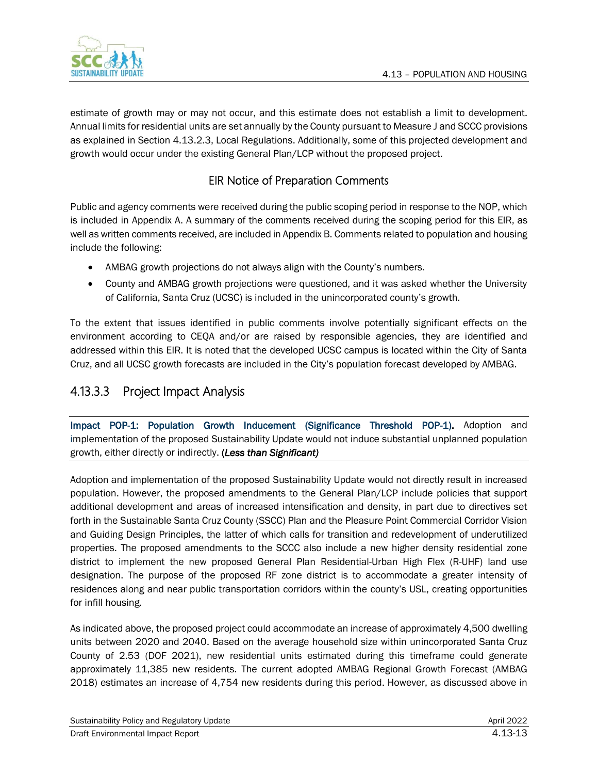estimate of growth may or may not occur, and this estimate does not establish a limit to development. Annual limits for residential units are set annually by the County pursuant to Measure J and SCCC provisions as explained in Section 4.13.2.3, Local Regulations. Additionally, some of this projected development and growth would occur under the existing General Plan/LCP without the proposed project.

### EIR Notice of Preparation Comments

Public and agency comments were received during the public scoping period in response to the NOP, which is included in Appendix A. A summary of the comments received during the scoping period for this EIR, as well as written comments received, are included in Appendix B. Comments related to population and housing include the following:

- AMBAG growth projections do not always align with the County's numbers.
- County and AMBAG growth projections were questioned, and it was asked whether the University of California, Santa Cruz (UCSC) is included in the unincorporated county's growth.

To the extent that issues identified in public comments involve potentially significant effects on the environment according to CEQA and/or are raised by responsible agencies, they are identified and addressed within this EIR. It is noted that the developed UCSC campus is located within the City of Santa Cruz, and all UCSC growth forecasts are included in the City's population forecast developed by AMBAG.

## 4.13.3.3 Project Impact Analysis

Impact POP-1: Population Growth Inducement (Significance Threshold POP-1). Adoption and implementation of the proposed Sustainability Update would not induce substantial unplanned population growth, either directly or indirectly. (*Less than Significant)*

Adoption and implementation of the proposed Sustainability Update would not directly result in increased population. However, the proposed amendments to the General Plan/LCP include policies that support additional development and areas of increased intensification and density, in part due to directives set forth in the Sustainable Santa Cruz County (SSCC) Plan and the Pleasure Point Commercial Corridor Vision and Guiding Design Principles, the latter of which calls for transition and redevelopment of underutilized properties. The proposed amendments to the SCCC also include a new higher density residential zone district to implement the new proposed General Plan Residential-Urban High Flex (R-UHF) land use designation. The purpose of the proposed RF zone district is to accommodate a greater intensity of residences along and near public transportation corridors within the county's USL, creating opportunities for infill housing.

As indicated above, the proposed project could accommodate an increase of approximately 4,500 dwelling units between 2020 and 2040. Based on the average household size within unincorporated Santa Cruz County of 2.53 (DOF 2021), new residential units estimated during this timeframe could generate approximately 11,385 new residents. The current adopted AMBAG Regional Growth Forecast (AMBAG 2018) estimates an increase of 4,754 new residents during this period. However, as discussed above in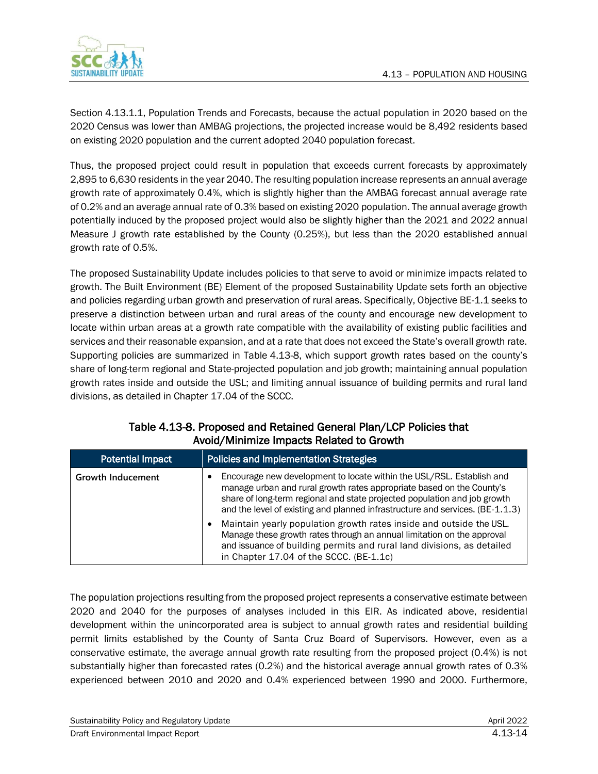

Section [4.13.1.1,](#page-0-0) Population [Trends and Forecasts,](#page-0-0) because the actual population in 2020 based on the 2020 Census was lower than AMBAG projections, the projected increase would be 8,492 residents based on existing 2020 population and the current adopted 2040 population forecast.

Thus, the proposed project could result in population that exceeds current forecasts by approximately 2,895 to 6,630 residents in the year 2040. The resulting population increase represents an annual average growth rate of approximately 0.4%, which is slightly higher than the AMBAG forecast annual average rate of 0.2% and an average annual rate of 0.3% based on existing 2020 population. The annual average growth potentially induced by the proposed project would also be slightly higher than the 2021 and 2022 annual Measure J growth rate established by the County (0.25%), but less than the 2020 established annual growth rate of 0.5%.

The proposed Sustainability Update includes policies to that serve to avoid or minimize impacts related to growth. The Built Environment (BE) Element of the proposed Sustainability Update sets forth an objective and policies regarding urban growth and preservation of rural areas. Specifically, Objective BE-1.1 seeks to preserve a distinction between urban and rural areas of the county and encourage new development to locate within urban areas at a growth rate compatible with the availability of existing public facilities and services and their reasonable expansion, and at a rate that does not exceed the State's overall growth rate. Supporting policies are summarized in Table [4.13-8,](#page-13-0) which support growth rates based on the county's share of long-term regional and State-projected population and job growth; maintaining annual population growth rates inside and outside the USL; and limiting annual issuance of building permits and rural land divisions, as detailed in Chapter 17.04 of the SCCC.

<span id="page-13-0"></span>

| $\overline{\mathbf{r}}$  |                                                                                                                                                                                                                                                                                                              |  |  |  |
|--------------------------|--------------------------------------------------------------------------------------------------------------------------------------------------------------------------------------------------------------------------------------------------------------------------------------------------------------|--|--|--|
| <b>Potential Impact</b>  | <b>Policies and Implementation Strategies</b>                                                                                                                                                                                                                                                                |  |  |  |
| <b>Growth Inducement</b> | Encourage new development to locate within the USL/RSL. Establish and<br>manage urban and rural growth rates appropriate based on the County's<br>share of long-term regional and state projected population and job growth<br>and the level of existing and planned infrastructure and services. (BE-1.1.3) |  |  |  |
|                          | Maintain yearly population growth rates inside and outside the USL.<br>Manage these growth rates through an annual limitation on the approval<br>and issuance of building permits and rural land divisions, as detailed<br>in Chapter 17.04 of the SCCC. (BE-1.1c)                                           |  |  |  |

#### Table 4.13-8. Proposed and Retained General Plan/LCP Policies that Avoid/Minimize Impacts Related to Growth

The population projections resulting from the proposed project represents a conservative estimate between 2020 and 2040 for the purposes of analyses included in this EIR. As indicated above, residential development within the unincorporated area is subject to annual growth rates and residential building permit limits established by the County of Santa Cruz Board of Supervisors. However, even as a conservative estimate, the average annual growth rate resulting from the proposed project (0.4%) is not substantially higher than forecasted rates (0.2%) and the historical average annual growth rates of 0.3% experienced between 2010 and 2020 and 0.4% experienced between 1990 and 2000. Furthermore,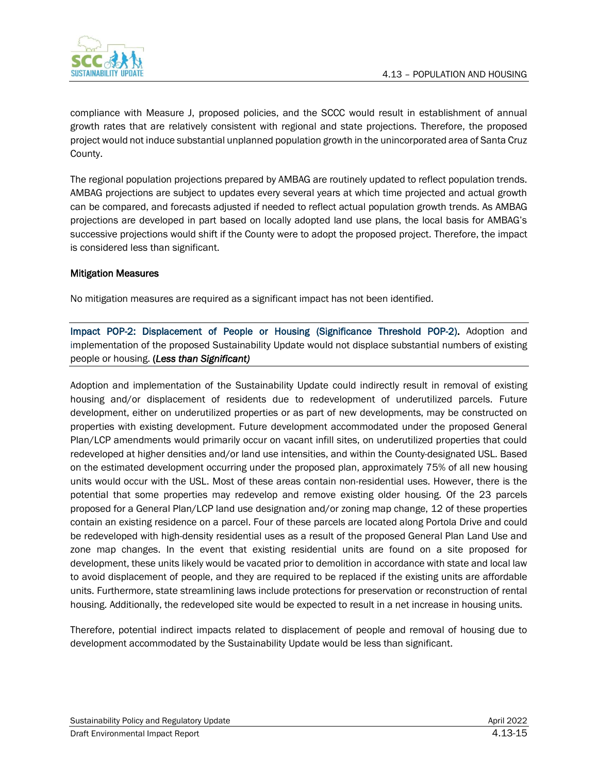

compliance with Measure J, proposed policies, and the SCCC would result in establishment of annual growth rates that are relatively consistent with regional and state projections. Therefore, the proposed project would not induce substantial unplanned population growth in the unincorporated area of Santa Cruz County.

The regional population projections prepared by AMBAG are routinely updated to reflect population trends. AMBAG projections are subject to updates every several years at which time projected and actual growth can be compared, and forecasts adjusted if needed to reflect actual population growth trends. As AMBAG projections are developed in part based on locally adopted land use plans, the local basis for AMBAG's successive projections would shift if the County were to adopt the proposed project. Therefore, the impact is considered less than significant.

#### Mitigation Measures

No mitigation measures are required as a significant impact has not been identified.

Impact POP-2: Displacement of People or Housing (Significance Threshold POP-2). Adoption and implementation of the proposed Sustainability Update would not displace substantial numbers of existing people or housing. (*Less than Significant)*

Adoption and implementation of the Sustainability Update could indirectly result in removal of existing housing and/or displacement of residents due to redevelopment of underutilized parcels. Future development, either on underutilized properties or as part of new developments, may be constructed on properties with existing development. Future development accommodated under the proposed General Plan/LCP amendments would primarily occur on vacant infill sites, on underutilized properties that could redeveloped at higher densities and/or land use intensities, and within the County-designated USL. Based on the estimated development occurring under the proposed plan, approximately 75% of all new housing units would occur with the USL. Most of these areas contain non-residential uses. However, there is the potential that some properties may redevelop and remove existing older housing. Of the 23 parcels proposed for a General Plan/LCP land use designation and/or zoning map change, 12 of these properties contain an existing residence on a parcel. Four of these parcels are located along Portola Drive and could be redeveloped with high-density residential uses as a result of the proposed General Plan Land Use and zone map changes. In the event that existing residential units are found on a site proposed for development, these units likely would be vacated prior to demolition in accordance with state and local law to avoid displacement of people, and they are required to be replaced if the existing units are affordable units. Furthermore, state streamlining laws include protections for preservation or reconstruction of rental housing. Additionally, the redeveloped site would be expected to result in a net increase in housing units.

Therefore, potential indirect impacts related to displacement of people and removal of housing due to development accommodated by the Sustainability Update would be less than significant.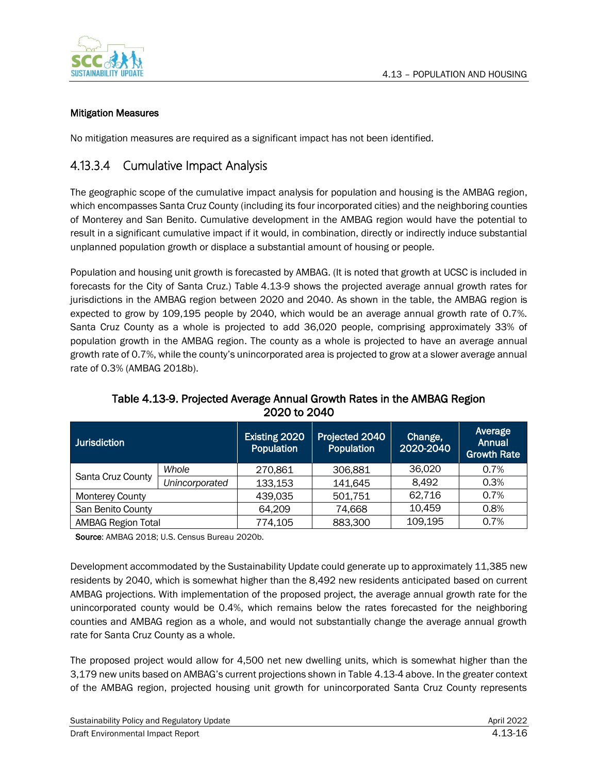

#### Mitigation Measures

No mitigation measures are required as a significant impact has not been identified.

## 4.13.3.4 Cumulative Impact Analysis

The geographic scope of the cumulative impact analysis for population and housing is the AMBAG region, which encompasses Santa Cruz County (including its four incorporated cities) and the neighboring counties of Monterey and San Benito. Cumulative development in the AMBAG region would have the potential to result in a significant cumulative impact if it would, in combination, directly or indirectly induce substantial unplanned population growth or displace a substantial amount of housing or people.

Population and housing unit growth is forecasted by AMBAG. (It is noted that growth at UCSC is included in forecasts for the City of Santa Cruz.) Table [4.13-9](#page-15-0) shows the projected average annual growth rates for jurisdictions in the AMBAG region between 2020 and 2040. As shown in the table, the AMBAG region is expected to grow by 109,195 people by 2040, which would be an average annual growth rate of 0.7%. Santa Cruz County as a whole is projected to add 36,020 people, comprising approximately 33% of population growth in the AMBAG region. The county as a whole is projected to have an average annual growth rate of 0.7%, while the county's unincorporated area is projected to grow at a slower average annual rate of 0.3% (AMBAG 2018b).

<span id="page-15-0"></span>

| <b>Jurisdiction</b>       |                | Existing 2020<br>Population | Projected 2040<br>Population | Change,<br>2020-2040 | Average<br><b>Annual</b><br><b>Growth Rate</b> |
|---------------------------|----------------|-----------------------------|------------------------------|----------------------|------------------------------------------------|
| Santa Cruz County         | Whole          | 270,861                     | 306,881                      | 36,020               | 0.7%                                           |
|                           | Unincorporated | 133,153                     | 141,645                      | 8.492                | 0.3%                                           |
| <b>Monterey County</b>    |                | 439,035                     | 501,751                      | 62,716               | 0.7%                                           |
| San Benito County         |                | 64,209                      | 74,668                       | 10,459               | 0.8%                                           |
| <b>AMBAG Region Total</b> |                | 774,105                     | 883,300                      | 109,195              | 0.7%                                           |

Table 4.13-9. Projected Average Annual Growth Rates in the AMBAG Region 2020 to 2040

Source: AMBAG 2018; U.S. Census Bureau 2020b.

Development accommodated by the Sustainability Update could generate up to approximately 11,385 new residents by 2040, which is somewhat higher than the 8,492 new residents anticipated based on current AMBAG projections. With implementation of the proposed project, the average annual growth rate for the unincorporated county would be 0.4%, which remains below the rates forecasted for the neighboring counties and AMBAG region as a whole, and would not substantially change the average annual growth rate for Santa Cruz County as a whole.

The proposed project would allow for 4,500 net new dwelling units, which is somewhat higher than the 3,179 new units based on AMBAG's current projections shown in Table [4.13-4](#page-3-1) above. In the greater context of the AMBAG region, projected housing unit growth for unincorporated Santa Cruz County represents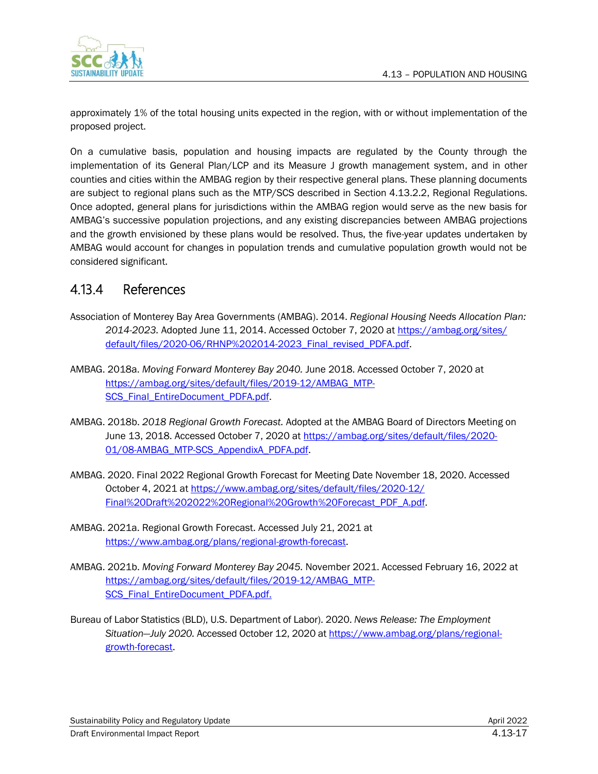

approximately 1% of the total housing units expected in the region, with or without implementation of the proposed project.

On a cumulative basis, population and housing impacts are regulated by the County through the implementation of its General Plan/LCP and its Measure J growth management system, and in other counties and cities within the AMBAG region by their respective general plans. These planning documents are subject to regional plans such as the MTP/SCS described in Section [4.13.2.2,](#page-8-0) Regional [Regulations.](#page-8-0) Once adopted, general plans for jurisdictions within the AMBAG region would serve as the new basis for AMBAG's successive population projections, and any existing discrepancies between AMBAG projections and the growth envisioned by these plans would be resolved. Thus, the five-year updates undertaken by AMBAG would account for changes in population trends and cumulative population growth would not be considered significant.

## 4.13.4 References

- Association of Monterey Bay Area Governments (AMBAG). 2014. *Regional Housing Needs Allocation Plan: 2014-2023.* Adopted June 11, 2014. Accessed October 7, 2020 at [https://ambag.org/sites/](https://ambag.org/sites/default/files/2020-06/RHNP%202014-2023_Final_revised_PDFA.pdf) [default/files/2020-06/RHNP%202014-2023\\_Final\\_revised\\_PDFA.pdf.](https://ambag.org/sites/default/files/2020-06/RHNP%202014-2023_Final_revised_PDFA.pdf)
- AMBAG. 2018a. *Moving Forward Monterey Bay 2040.* June 2018. Accessed October 7, 2020 at [https://ambag.org/sites/default/files/2019-12/AMBAG\\_MTP-](https://ambag.org/sites/default/files/2019-12/AMBAG_MTP-SCS_Final_EntireDocument_PDFA.pdf)[SCS\\_Final\\_EntireDocument\\_PDFA.pdf.](https://ambag.org/sites/default/files/2019-12/AMBAG_MTP-SCS_Final_EntireDocument_PDFA.pdf)
- AMBAG. 2018b. *2018 Regional Growth Forecast.* Adopted at the AMBAG Board of Directors Meeting on June 13, 2018. Accessed October 7, 2020 a[t https://ambag.org/sites/default/files/2020-](https://ambag.org/sites/default/files/2020-01/08-AMBAG_MTP-SCS_AppendixA_PDFA.pdf) [01/08-AMBAG\\_MTP-SCS\\_AppendixA\\_PDFA.pdf.](https://ambag.org/sites/default/files/2020-01/08-AMBAG_MTP-SCS_AppendixA_PDFA.pdf)
- AMBAG. 2020. Final 2022 Regional Growth Forecast for Meeting Date November 18, 2020. Accessed October 4, 2021 at [https://www.ambag.org/sites/default/files/2020-12/](https://www.ambag.org/sites/default/files/2020-12/Final%20Draft%202022%20Regional%20Growth%20Forecast_PDF_A.pdf) [Final%20Draft%202022%20Regional%20Growth%20Forecast\\_PDF\\_A.pdf.](https://www.ambag.org/sites/default/files/2020-12/Final%20Draft%202022%20Regional%20Growth%20Forecast_PDF_A.pdf)
- AMBAG. 2021a. Regional Growth Forecast. Accessed July 21, 2021 at [https://www.ambag.org/plans/regional-growth-forecast.](https://www.ambag.org/plans/regional-growth-forecast)
- AMBAG. 2021b. *Moving Forward Monterey Bay 2045.* November 2021. Accessed February 16, 2022 at [https://ambag.org/sites/default/files/2019-12/AMBAG\\_MTP-](https://ambag.org/sites/default/files/2019-12/AMBAG_MTP-SCS_Final_EntireDocument_PDFA.pdf)[SCS\\_Final\\_EntireDocument\\_PDFA.pdf.](https://ambag.org/sites/default/files/2019-12/AMBAG_MTP-SCS_Final_EntireDocument_PDFA.pdf)
- Bureau of Labor Statistics (BLD), U.S. Department of Labor). 2020. *News Release: The Employment Situation—July 2020.* Accessed October 12, 2020 a[t https://www.ambag.org/plans/regional](https://www.ambag.org/plans/regional-growth-forecast)[growth-forecast.](https://www.ambag.org/plans/regional-growth-forecast)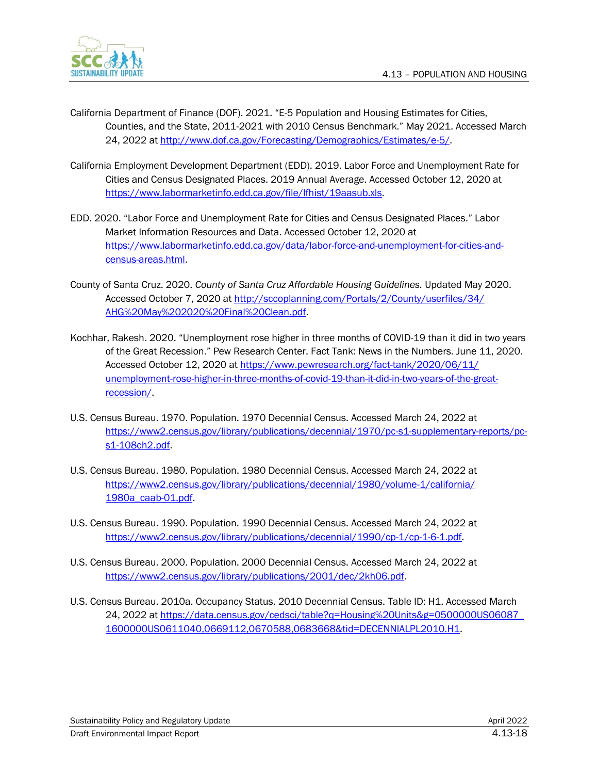

- California Department of Finance (DOF). 2021. "E-5 Population and Housing Estimates for Cities, Counties, and the State, 2011-2021 with 2010 Census Benchmark." May 2021. Accessed March 24, 2022 at [http://www.dof.ca.gov/Forecasting/Demographics/Estimates/e-5/.](http://www.dof.ca.gov/Forecasting/Demographics/Estimates/e-5/)
- California Employment Development Department (EDD). 2019. Labor Force and Unemployment Rate for Cities and Census Designated Places. 2019 Annual Average. Accessed October 12, 2020 at [https://www.labormarketinfo.edd.ca.gov/file/lfhist/19aasub.xls.](https://www.labormarketinfo.edd.ca.gov/file/lfhist/19aasub.xls)
- EDD. 2020. "Labor Force and Unemployment Rate for Cities and Census Designated Places." Labor Market Information Resources and Data. Accessed October 12, 2020 at [https://www.labormarketinfo.edd.ca.gov/data/labor-force-and-unemployment-for-cities-and](https://www.labormarketinfo.edd.ca.gov/data/labor-force-and-unemployment-for-cities-and-census-areas.html)[census-areas.html.](https://www.labormarketinfo.edd.ca.gov/data/labor-force-and-unemployment-for-cities-and-census-areas.html)
- County of Santa Cruz. 2020. *County of Santa Cruz Affordable Housing Guidelines.* Updated May 2020. Accessed October 7, 2020 at [http://sccoplanning.com/Portals/2/County/userfiles/34/](http://sccoplanning.com/Portals/2/County/userfiles/34/AHG%20May%202020%20Final%20Clean.pdf) [AHG%20May%202020%20Final%20Clean.pdf.](http://sccoplanning.com/Portals/2/County/userfiles/34/AHG%20May%202020%20Final%20Clean.pdf)
- Kochhar, Rakesh. 2020. "Unemployment rose higher in three months of COVID-19 than it did in two years of the Great Recession." Pew Research Center. Fact Tank: News in the Numbers. June 11, 2020. Accessed October 12, 2020 at [https://www.pewresearch.org/fact-tank/2020/06/11/](https://www.pewresearch.org/fact-tank/2020/06/11/unemployment-rose-higher-in-three-months-of-covid-19-than-it-did-in-two-years-of-the-great-recession/) [unemployment-rose-higher-in-three-months-of-covid-19-than-it-did-in-two-years-of-the-great](https://www.pewresearch.org/fact-tank/2020/06/11/unemployment-rose-higher-in-three-months-of-covid-19-than-it-did-in-two-years-of-the-great-recession/)[recession/.](https://www.pewresearch.org/fact-tank/2020/06/11/unemployment-rose-higher-in-three-months-of-covid-19-than-it-did-in-two-years-of-the-great-recession/)
- U.S. Census Bureau. 1970. Population. 1970 Decennial Census. Accessed March 24, 2022 at [https://www2.census.gov/library/publications/decennial/1970/pc-s1-supplementary-reports/pc](https://www2.census.gov/library/publications/decennial/1970/pc-s1-supplementary-reports/pc-s1-108ch2.pdf)[s1-108ch2.pdf.](https://www2.census.gov/library/publications/decennial/1970/pc-s1-supplementary-reports/pc-s1-108ch2.pdf)
- U.S. Census Bureau. 1980. Population. 1980 Decennial Census. Accessed March 24, 2022 at [https://www2.census.gov/library/publications/decennial/1980/volume-1/california/](https://www2.census.gov/library/publications/decennial/1980/volume-1/california/1980a_caab-01.pdf) [1980a\\_caab-01.pdf.](https://www2.census.gov/library/publications/decennial/1980/volume-1/california/1980a_caab-01.pdf)
- U.S. Census Bureau. 1990. Population. 1990 Decennial Census. Accessed March 24, 2022 at [https://www2.census.gov/library/publications/decennial/1990/cp-1/cp-1-6-1.pdf.](https://www2.census.gov/library/publications/decennial/1990/cp-1/cp-1-6-1.pdf)
- U.S. Census Bureau. 2000. Population. 2000 Decennial Census. Accessed March 24, 2022 at [https://www2.census.gov/library/publications/2001/dec/2kh06.pdf.](https://www2.census.gov/library/publications/2001/dec/2kh06.pdf)
- U.S. Census Bureau. 2010a. Occupancy Status. 2010 Decennial Census. Table ID: H1. Accessed March 24, 2022 at [https://data.census.gov/cedsci/table?q=Housing%20Units&g=0500000US06087\\_](https://data.census.gov/cedsci/table?q=Housing%20Units&g=0500000US06087_1600000US0611040,0669112,0670588,0683668&tid=DECENNIALPL2010.H1) [1600000US0611040,0669112,0670588,0683668&tid=DECENNIALPL2010.H1.](https://data.census.gov/cedsci/table?q=Housing%20Units&g=0500000US06087_1600000US0611040,0669112,0670588,0683668&tid=DECENNIALPL2010.H1)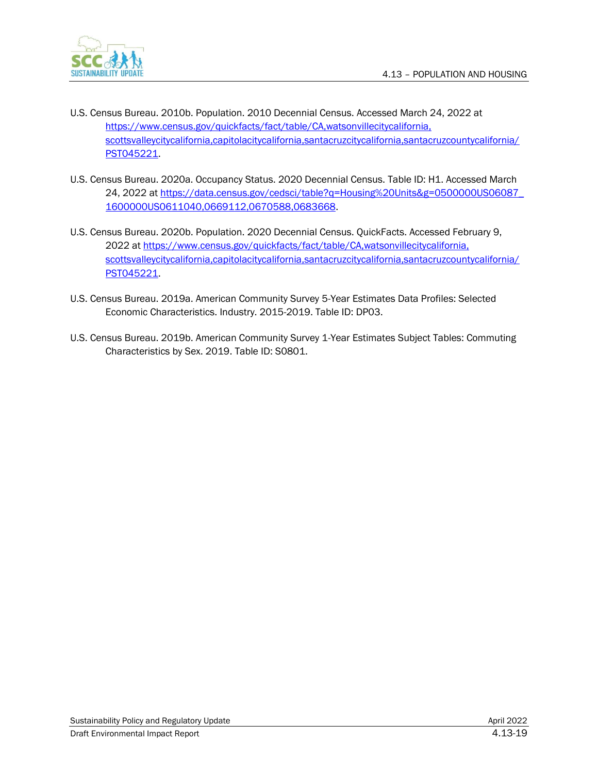

- U.S. Census Bureau. 2010b. Population. 2010 Decennial Census. Accessed March 24, 2022 at [https://www.census.gov/quickfacts/fact/table/CA,watsonvillecitycalifornia,](https://www.census.gov/quickfacts/fact/table/CA,watsonvillecitycalifornia,scottsvalleycitycalifornia,capitolacitycalifornia,santacruzcitycalifornia,santacruzcountycalifornia/PST045221) [scottsvalleycitycalifornia,capitolacitycalifornia,santacruzcitycalifornia,santacruzcountycalifornia/](https://www.census.gov/quickfacts/fact/table/CA,watsonvillecitycalifornia,scottsvalleycitycalifornia,capitolacitycalifornia,santacruzcitycalifornia,santacruzcountycalifornia/PST045221) [PST045221.](https://www.census.gov/quickfacts/fact/table/CA,watsonvillecitycalifornia,scottsvalleycitycalifornia,capitolacitycalifornia,santacruzcitycalifornia,santacruzcountycalifornia/PST045221)
- U.S. Census Bureau. 2020a. Occupancy Status. 2020 Decennial Census. Table ID: H1. Accessed March 24, 2022 at [https://data.census.gov/cedsci/table?q=Housing%20Units&g=0500000US06087\\_](https://data.census.gov/cedsci/table?q=Housing%20Units&g=0500000US06087_1600000US0611040,0669112,0670588,0683668) [1600000US0611040,0669112,0670588,0683668.](https://data.census.gov/cedsci/table?q=Housing%20Units&g=0500000US06087_1600000US0611040,0669112,0670588,0683668)
- U.S. Census Bureau. 2020b. Population. 2020 Decennial Census. QuickFacts. Accessed February 9, 2022 a[t https://www.census.gov/quickfacts/fact/table/CA,watsonvillecitycalifornia,](https://www.census.gov/quickfacts/fact/table/CA,watsonvillecitycalifornia,scottsvalleycitycalifornia,capitolacitycalifornia,santacruzcitycalifornia,santacruzcountycalifornia/PST045221) [scottsvalleycitycalifornia,capitolacitycalifornia,santacruzcitycalifornia,santacruzcountycalifornia/](https://www.census.gov/quickfacts/fact/table/CA,watsonvillecitycalifornia,scottsvalleycitycalifornia,capitolacitycalifornia,santacruzcitycalifornia,santacruzcountycalifornia/PST045221) [PST045221.](https://www.census.gov/quickfacts/fact/table/CA,watsonvillecitycalifornia,scottsvalleycitycalifornia,capitolacitycalifornia,santacruzcitycalifornia,santacruzcountycalifornia/PST045221)
- U.S. Census Bureau. 2019a. American Community Survey 5-Year Estimates Data Profiles: Selected Economic Characteristics. Industry. 2015-2019. Table ID: DP03.
- U.S. Census Bureau. 2019b. American Community Survey 1-Year Estimates Subject Tables: Commuting Characteristics by Sex. 2019. Table ID: S0801.